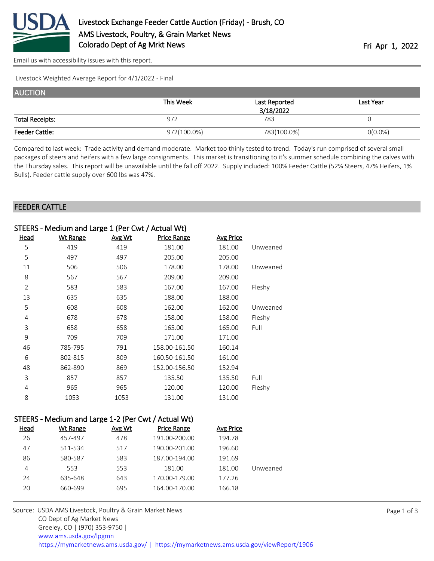

[Email us with accessibility issues with this report.](mailto:mars@ams.usda.gov?subject=508%20issue)

Livestock Weighted Average Report for 4/1/2022 - Final

| <b>AUCTION</b>         |             |               |            |
|------------------------|-------------|---------------|------------|
|                        | This Week   | Last Reported | Last Year  |
|                        |             | 3/18/2022     |            |
| <b>Total Receipts:</b> | 972         | 783           |            |
| <b>Feeder Cattle:</b>  | 972(100.0%) | 783(100.0%)   | $O(0.0\%)$ |

Compared to last week: Trade activity and demand moderate. Market too thinly tested to trend. Today's run comprised of several small packages of steers and heifers with a few large consignments. This market is transitioning to it's summer schedule combining the calves with the Thursday sales. This report will be unavailable until the fall off 2022. Supply included: 100% Feeder Cattle (52% Steers, 47% Heifers, 1% Bulls). Feeder cattle supply over 600 lbs was 47%.

## FEEDER CATTLE

| STEERS - Medium and Large 1 (Per Cwt / Actual Wt) |                 |        |               |                  |          |  |
|---------------------------------------------------|-----------------|--------|---------------|------------------|----------|--|
| <u>Head</u>                                       | <b>Wt Range</b> | Avg Wt | Price Range   | <b>Avg Price</b> |          |  |
| 5                                                 | 419             | 419    | 181.00        | 181.00           | Unweaned |  |
| 5                                                 | 497             | 497    | 205.00        | 205.00           |          |  |
| 11                                                | 506             | 506    | 178.00        | 178.00           | Unweaned |  |
| 8                                                 | 567             | 567    | 209.00        | 209.00           |          |  |
| $\overline{2}$                                    | 583             | 583    | 167.00        | 167.00           | Fleshy   |  |
| 13                                                | 635             | 635    | 188.00        | 188.00           |          |  |
| 5                                                 | 608             | 608    | 162.00        | 162.00           | Unweaned |  |
| 4                                                 | 678             | 678    | 158.00        | 158.00           | Fleshy   |  |
| 3                                                 | 658             | 658    | 165.00        | 165.00           | Full     |  |
| 9                                                 | 709             | 709    | 171.00        | 171.00           |          |  |
| 46                                                | 785-795         | 791    | 158.00-161.50 | 160.14           |          |  |
| 6                                                 | 802-815         | 809    | 160.50-161.50 | 161.00           |          |  |
| 48                                                | 862-890         | 869    | 152.00-156.50 | 152.94           |          |  |
| 3                                                 | 857             | 857    | 135.50        | 135.50           | Full     |  |
| 4                                                 | 965             | 965    | 120.00        | 120.00           | Fleshy   |  |
| 8                                                 | 1053            | 1053   | 131.00        | 131.00           |          |  |

|          | STEERS - Medium and Large 1-2 (Per Cwt / Actual Wt) |                    |        |          |             |  |  |
|----------|-----------------------------------------------------|--------------------|--------|----------|-------------|--|--|
|          | Avg Price                                           | <b>Price Range</b> | Avg Wt | Wt Range | <b>Head</b> |  |  |
|          | 194.78                                              | 191.00-200.00      | 478    | 457-497  | 26          |  |  |
|          | 196.60                                              | 190.00-201.00      | 517    | 511-534  | 47          |  |  |
|          | 191.69                                              | 187.00-194.00      | 583    | 580-587  | 86          |  |  |
| Unweaned | 181.00                                              | 181.00             | 553    | 553      | 4           |  |  |
|          | 177.26                                              | 170.00-179.00      | 643    | 635-648  | 24          |  |  |
|          | 166.18                                              | 164.00-170.00      | 695    | 660-699  | 20          |  |  |

Source: USDA AMS Livestock, Poultry & Grain Market News CO Dept of Ag Market News Greeley, CO | (970) 353-9750 | [www.ams.usda.gov/lpgmn](https://www.ams.usda.gov/market-news) <https://mymarketnews.ams.usda.gov/> [|](https://www.ams.usda.gov/market-news) <https://mymarketnews.ams.usda.gov/viewReport/1906>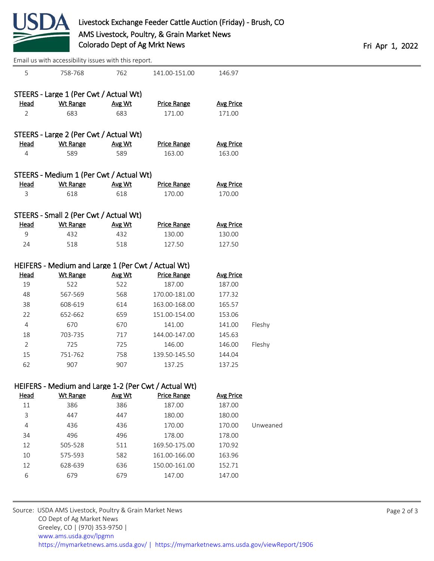

|                | Email us with accessibility issues with this report. |        |                                                      |                  |          |  |
|----------------|------------------------------------------------------|--------|------------------------------------------------------|------------------|----------|--|
| 5              | 758-768                                              | 762    | 141.00-151.00                                        | 146.97           |          |  |
|                | STEERS - Large 1 (Per Cwt / Actual Wt)               |        |                                                      |                  |          |  |
| <b>Head</b>    | <b>Wt Range</b>                                      | Avg Wt | <b>Price Range</b>                                   | <b>Avg Price</b> |          |  |
| 2              | 683                                                  | 683    | 171.00                                               | 171.00           |          |  |
|                | STEERS - Large 2 (Per Cwt / Actual Wt)               |        |                                                      |                  |          |  |
| Head           | <b>Wt Range</b>                                      | Avg Wt | <b>Price Range</b>                                   | <b>Avg Price</b> |          |  |
| 4              | 589                                                  | 589    | 163.00                                               | 163.00           |          |  |
|                | STEERS - Medium 1 (Per Cwt / Actual Wt)              |        |                                                      |                  |          |  |
| <b>Head</b>    | <b>Wt Range</b>                                      | Avg Wt | <b>Price Range</b>                                   | <b>Avg Price</b> |          |  |
| 3              | 618                                                  | 618    | 170.00                                               | 170.00           |          |  |
|                | STEERS - Small 2 (Per Cwt / Actual Wt)               |        |                                                      |                  |          |  |
| <u>Head</u>    | <b>Wt Range</b>                                      | Avg Wt | <b>Price Range</b>                                   | <b>Avg Price</b> |          |  |
| 9              | 432                                                  | 432    | 130.00                                               | 130.00           |          |  |
| 24             | 518                                                  | 518    | 127.50                                               | 127.50           |          |  |
|                | HEIFERS - Medium and Large 1 (Per Cwt / Actual Wt)   |        |                                                      |                  |          |  |
| <u>Head</u>    | <b>Wt Range</b>                                      | Avg Wt | <b>Price Range</b>                                   | <b>Avg Price</b> |          |  |
| 19             | 522                                                  | 522    | 187.00                                               | 187.00           |          |  |
| 48             | 567-569                                              | 568    | 170.00-181.00                                        | 177.32           |          |  |
| 38             | 608-619                                              | 614    | 163.00-168.00                                        | 165.57           |          |  |
| 22             | 652-662                                              | 659    | 151.00-154.00                                        | 153.06           |          |  |
| $\overline{4}$ | 670                                                  | 670    | 141.00                                               | 141.00           | Fleshy   |  |
| 18             | 703-735                                              | 717    | 144.00-147.00                                        | 145.63           |          |  |
| $\overline{2}$ | 725                                                  | 725    | 146.00                                               | 146.00           | Fleshy   |  |
| 15             | 751-762                                              | 758    | 139.50-145.50                                        | 144.04           |          |  |
| 62             | 907                                                  | 907    | 137.25                                               | 137.25           |          |  |
|                |                                                      |        | HEIFERS - Medium and Large 1-2 (Per Cwt / Actual Wt) |                  |          |  |
| <b>Head</b>    | <b>Wt Range</b>                                      | Avg Wt | <b>Price Range</b>                                   | <b>Avg Price</b> |          |  |
| $11\,$         | 386                                                  | 386    | 187.00                                               | 187.00           |          |  |
| 3              | 447                                                  | 447    | 180.00                                               | 180.00           |          |  |
| 4              | 436                                                  | 436    | 170.00                                               | 170.00           | Unweaned |  |
| 34             | 496                                                  | 496    | 178.00                                               | 178.00           |          |  |
| 12             | 505-528                                              | 511    | 169.50-175.00                                        | 170.92           |          |  |
| 10             | 575-593                                              | 582    | 161.00-166.00                                        | 163.96           |          |  |
| 12             | 628-639                                              | 636    | 150.00-161.00                                        | 152.71           |          |  |
| 6              | 679                                                  | 679    | 147.00                                               | 147.00           |          |  |
|                |                                                      |        |                                                      |                  |          |  |